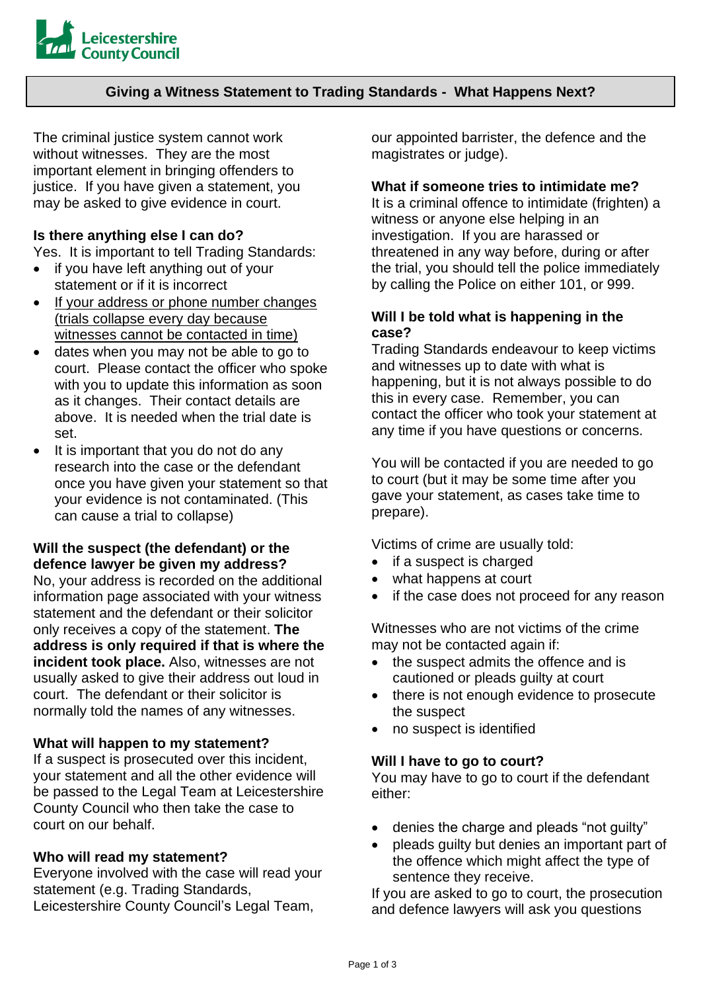

## **Giving a Witness Statement to Trading Standards - What Happens Next?**

The criminal justice system cannot work without witnesses. They are the most important element in bringing offenders to justice. If you have given a statement, you may be asked to give evidence in court.

#### **Is there anything else I can do?**

Yes. It is important to tell Trading Standards:

- if you have left anything out of your statement or if it is incorrect
- If your address or phone number changes (trials collapse every day because witnesses cannot be contacted in time)
- dates when you may not be able to go to court. Please contact the officer who spoke with you to update this information as soon as it changes. Their contact details are above. It is needed when the trial date is set.
- It is important that you do not do any research into the case or the defendant once you have given your statement so that your evidence is not contaminated. (This can cause a trial to collapse)

#### **Will the suspect (the defendant) or the defence lawyer be given my address?**

No, your address is recorded on the additional information page associated with your witness statement and the defendant or their solicitor only receives a copy of the statement. **The address is only required if that is where the incident took place.** Also, witnesses are not usually asked to give their address out loud in court. The defendant or their solicitor is normally told the names of any witnesses.

#### **What will happen to my statement?**

If a suspect is prosecuted over this incident, your statement and all the other evidence will be passed to the Legal Team at Leicestershire County Council who then take the case to court on our behalf.

#### **Who will read my statement?**

Everyone involved with the case will read your statement (e.g. Trading Standards, Leicestershire County Council's Legal Team,

our appointed barrister, the defence and the magistrates or judge).

#### **What if someone tries to intimidate me?**

It is a criminal offence to intimidate (frighten) a witness or anyone else helping in an investigation. If you are harassed or threatened in any way before, during or after the trial, you should tell the police immediately by calling the Police on either 101, or 999.

#### **Will I be told what is happening in the case?**

Trading Standards endeavour to keep victims and witnesses up to date with what is happening, but it is not always possible to do this in every case. Remember, you can contact the officer who took your statement at any time if you have questions or concerns.

You will be contacted if you are needed to go to court (but it may be some time after you gave your statement, as cases take time to prepare).

Victims of crime are usually told:

- if a suspect is charged
- what happens at court
- if the case does not proceed for any reason

Witnesses who are not victims of the crime may not be contacted again if:

- the suspect admits the offence and is cautioned or pleads guilty at court
- there is not enough evidence to prosecute the suspect
- no suspect is identified

#### **Will I have to go to court?**

You may have to go to court if the defendant either:

- denies the charge and pleads "not guilty"
- pleads guilty but denies an important part of the offence which might affect the type of sentence they receive.

If you are asked to go to court, the prosecution and defence lawyers will ask you questions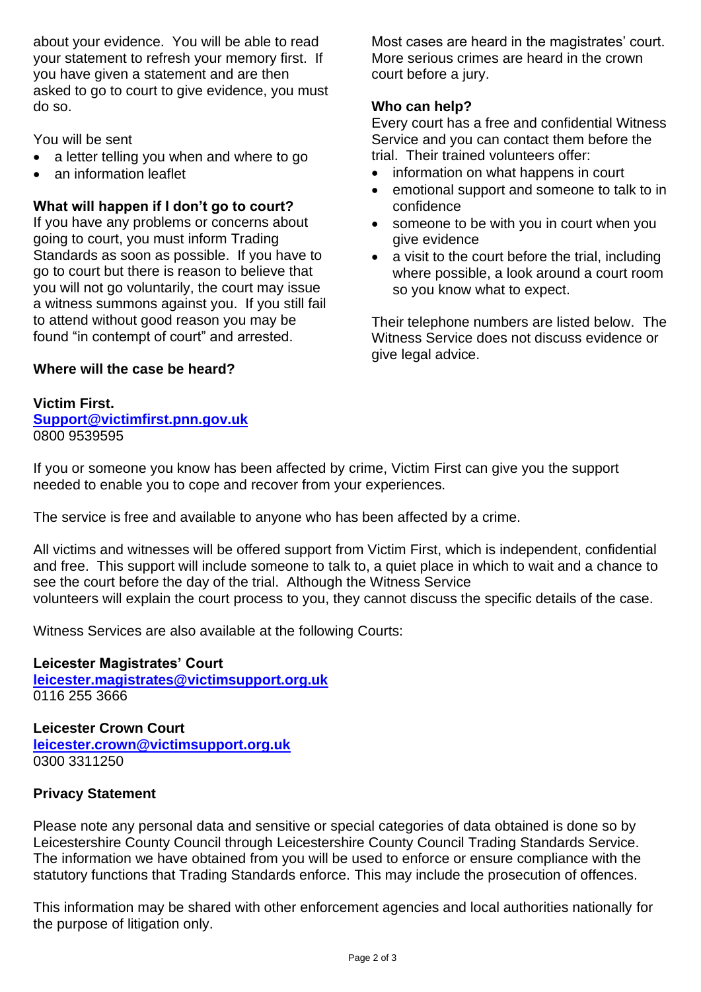about your evidence. You will be able to read your statement to refresh your memory first. If you have given a statement and are then asked to go to court to give evidence, you must do so.

You will be sent<br>• a letter telling

- a letter telling you when and where to go
- an information leaflet

# **What will happen if I don't go to court?**

If you have any problems or concerns about going to court, you must inform Trading Standards as soon as possible. If you have to go to court but there is reason to believe that you will not go voluntarily, the court may issue a witness summons against you. If you still fail to attend without good reason you may be found "in contempt of court" and arrested.

Most cases are heard in the magistrates' court. More serious crimes are heard in the crown court before a jury.

# **Who can help?**

Every court has a free and confidential Witness Service and you can contact them before the trial. Their trained volunteers offer:

- information on what happens in court
- emotional support and someone to talk to in confidence
- someone to be with you in court when you give evidence
- a visit to the court before the trial, including where possible, a look around a court room so you know what to expect.

Their telephone numbers are listed below. The Witness Service does not discuss evidence or give legal advice.

## **Where will the case be heard?**

**Victim First. [Support@victimfirst.pnn.gov.uk](mailto:Support@victimfirst.pnn.gov.uk)** 0800 9539595

If you or someone you know has been affected by crime, Victim First can give you the support needed to enable you to cope and recover from your experiences.

The service is free and available to anyone who has been affected by a crime.

All victims and witnesses will be offered support from Victim First, which is independent, confidential and free. This support will include someone to talk to, a quiet place in which to wait and a chance to see the court before the day of the trial. Although the Witness Service volunteers will explain the court process to you, they cannot discuss the specific details of the case.

Witness Services are also available at the following Courts:

## **Leicester Magistrates' Court**

**[leicester.magistrates@victimsupport.org.uk](mailto:leicester.magistrates@victimsupport.org.uk)** [0116 255 3666](tel:0116%20255%203666)

**Leicester Crown Court [leicester.crown@victimsupport.org.uk](mailto:leicester.crown@victimsupport.org.uk)** [0300 3311250](tel:0300%203311250)

# **Privacy Statement**

Please note any personal data and sensitive or special categories of data obtained is done so by Leicestershire County Council through Leicestershire County Council Trading Standards Service. The information we have obtained from you will be used to enforce or ensure compliance with the statutory functions that Trading Standards enforce. This may include the prosecution of offences.

This information may be shared with other enforcement agencies and local authorities nationally for the purpose of litigation only.